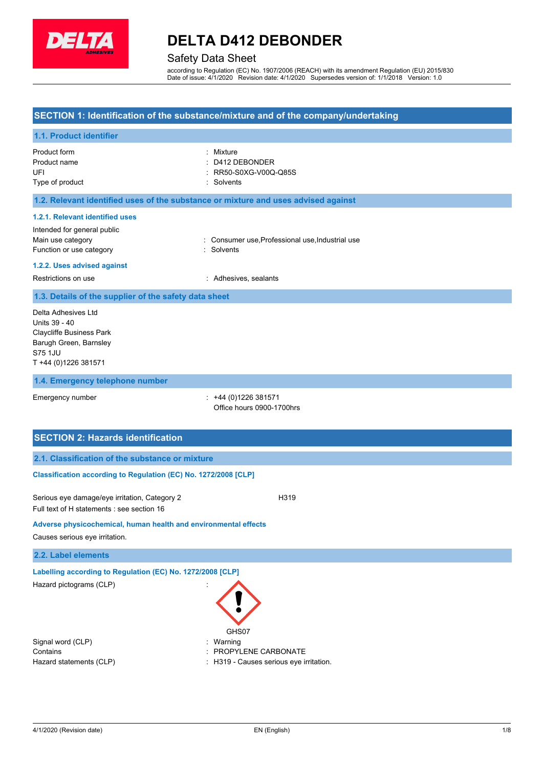

## **DELTA D412 DEBONDER**

### Safety Data Sheet

according to Regulation (EC) No. 1907/2006 (REACH) with its amendment Regulation (EU) 2015/830 Date of issue: 4/1/2020 Revision date: 4/1/2020 Supersedes version of: 1/1/2018 Version: 1.0

### **SECTION 1: Identification of the substance/mixture and of the company/undertaking**

## **1.1. Product identifier** Product form Product name UFI Type of product : Mixture : D412 DEBONDER : RR50-S0XG-V00Q-Q85S : Solvents **1.2. Relevant identified uses of the substance or mixture and uses advised against 1.2.1. Relevant identified uses** Intended for general public Main use category **in the category** of the category of the category of the consumer use, Professional use, Industrial use Function or use category **in the set of the Solvents** : Solvents **1.2.2. Uses advised against** Restrictions on use **interest and restrictions** on use **interests** and **Restrictions** on use **1.3. Details of the supplier of the safety data sheet 1.4. Emergency telephone number** Emergency number : +44 (0)1226 381571 Office hours 0900-1700hrs **SECTION 2: Hazards identification 2.1. Classification of the substance or mixture** Delta Adhesives Ltd Units 39 - 40 Claycliffe Business Park Barugh Green, Barnsley S75 1JU T +44 (0)[1226 38157](mailto:mail@cartell-uk.com)1

**Classification according to Regulation (EC) No. 1272/2008 [CLP]** 

Serious eye damage/eye irritation, Category 2 **H319** H319 Full text of H statements : see section 16

## **Adverse physicochemical, human health and environmental effects**

Causes serious eye irritation.

#### **2.2. Label elements**

**Labelling according to Regulation (EC) No. 1272/2008 [CLP]**

| Hazard pictograms (CLP) |  |
|-------------------------|--|
|                         |  |

Signal word (CLP)  $\qquad \qquad$ : Warning

GHS07

- Contains The Contains of the Contains of the CONTER CONTERNATE CONTERNATE CONTERNATE CONTERNATE CONTERNATE CONTE
- Hazard statements (CLP)  $\qquad \qquad$  : H319 Causes serious eye irritation.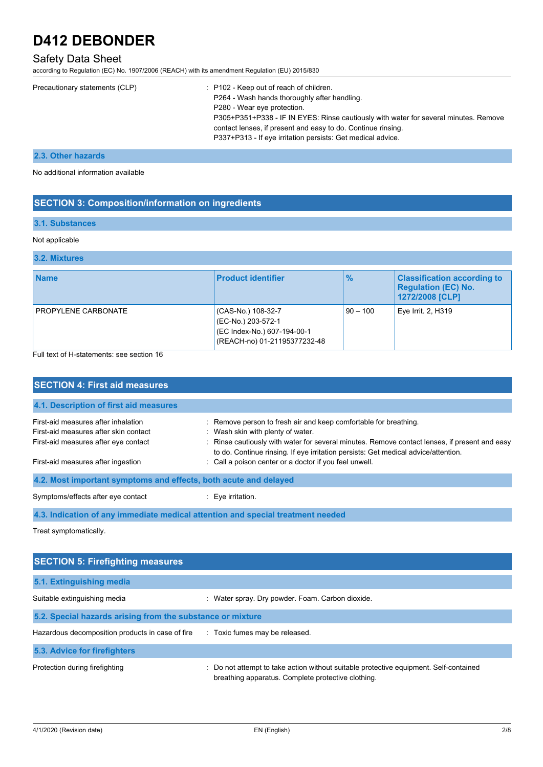## Safety Data Sheet

according to Regulation (EC) No. 1907/2006 (REACH) with its amendment Regulation (EU) 2015/830

| Precautionary statements (CLP) | $\therefore$ P102 - Keep out of reach of children.                                   |
|--------------------------------|--------------------------------------------------------------------------------------|
|                                | P264 - Wash hands thoroughly after handling.                                         |
|                                | P280 - Wear eye protection.                                                          |
|                                | P305+P351+P338 - IF IN EYES: Rinse cautiously with water for several minutes. Remove |
|                                | contact lenses, if present and easy to do. Continue rinsing.                         |
|                                | P337+P313 - If eye irritation persists: Get medical advice.                          |
|                                |                                                                                      |

#### **2.3. Other hazards**

No additional information available

### **SECTION 3: Composition/information on ingredients**

### **3.1. Substances**

#### Not applicable

**3.2. Mixtures**

| <b>Name</b>         | <b>Product identifier</b>                                                                               | $\frac{9}{6}$ | <b>Classification according to</b><br><b>Regulation (EC) No.</b><br>1272/2008 [CLP] |
|---------------------|---------------------------------------------------------------------------------------------------------|---------------|-------------------------------------------------------------------------------------|
| PROPYLENE CARBONATE | (CAS-No.) 108-32-7<br>(EC-No.) 203-572-1<br>(EC Index-No.) 607-194-00-1<br>(REACH-no) 01-21195377232-48 | $90 - 100$    | Eye Irrit. 2, H319                                                                  |

Full text of H-statements: see section 16

| <b>SECTION 4: First aid measures</b>                                                                                 |                                                                                                                                                                                                                                                                                              |  |
|----------------------------------------------------------------------------------------------------------------------|----------------------------------------------------------------------------------------------------------------------------------------------------------------------------------------------------------------------------------------------------------------------------------------------|--|
| 4.1. Description of first aid measures                                                                               |                                                                                                                                                                                                                                                                                              |  |
| First-aid measures after inhalation<br>First-aid measures after skin contact<br>First-aid measures after eye contact | : Remove person to fresh air and keep comfortable for breathing.<br>: Wash skin with plenty of water.<br>: Rinse cautiously with water for several minutes. Remove contact lenses, if present and easy<br>to do. Continue rinsing. If eye irritation persists: Get medical advice/attention. |  |
| First-aid measures after ingestion<br>4.2. Most important symptoms and effects, both acute and delayed               | : Call a poison center or a doctor if you feel unwell.                                                                                                                                                                                                                                       |  |
| Symptoms/effects after eye contact                                                                                   | : Eye irritation.                                                                                                                                                                                                                                                                            |  |
|                                                                                                                      | 4.3. Indication of any immediate medical attention and special treatment needed                                                                                                                                                                                                              |  |

Treat symptomatically.

| <b>SECTION 5: Firefighting measures</b>                    |                                                                                                                                             |  |
|------------------------------------------------------------|---------------------------------------------------------------------------------------------------------------------------------------------|--|
| 5.1. Extinguishing media                                   |                                                                                                                                             |  |
| Suitable extinguishing media                               | : Water spray. Dry powder. Foam. Carbon dioxide.                                                                                            |  |
| 5.2. Special hazards arising from the substance or mixture |                                                                                                                                             |  |
| Hazardous decomposition products in case of fire           | : Toxic fumes may be released.                                                                                                              |  |
| 5.3. Advice for firefighters                               |                                                                                                                                             |  |
| Protection during firefighting                             | : Do not attempt to take action without suitable protective equipment. Self-contained<br>breathing apparatus. Complete protective clothing. |  |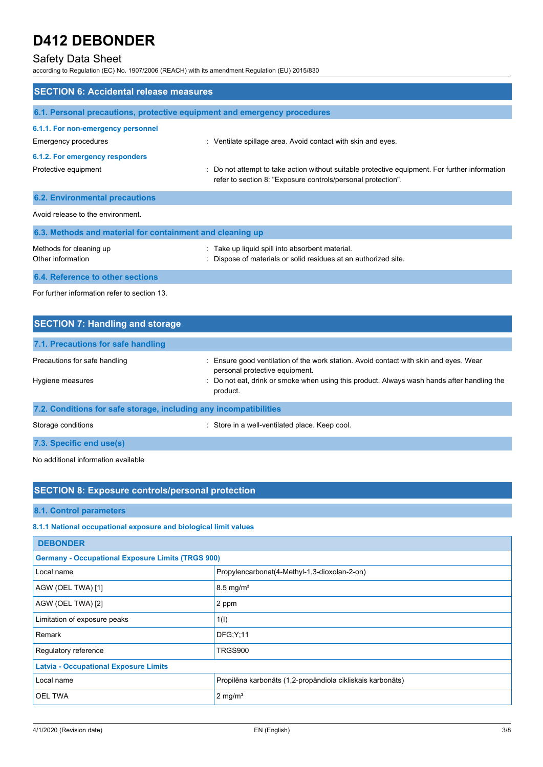## Safety Data Sheet

according to Regulation (EC) No. 1907/2006 (REACH) with its amendment Regulation (EU) 2015/830

| <b>SECTION 6: Accidental release measures</b>                            |                                                                                                                                                                |
|--------------------------------------------------------------------------|----------------------------------------------------------------------------------------------------------------------------------------------------------------|
| 6.1. Personal precautions, protective equipment and emergency procedures |                                                                                                                                                                |
| 6.1.1. For non-emergency personnel<br>Emergency procedures               | : Ventilate spillage area. Avoid contact with skin and eyes.                                                                                                   |
| 6.1.2. For emergency responders<br>Protective equipment                  | : Do not attempt to take action without suitable protective equipment. For further information<br>refer to section 8: "Exposure controls/personal protection". |
| <b>6.2. Environmental precautions</b>                                    |                                                                                                                                                                |
| Avoid release to the environment.                                        |                                                                                                                                                                |
| 6.3. Methods and material for containment and cleaning up                |                                                                                                                                                                |
| Methods for cleaning up<br>Other information                             | Take up liquid spill into absorbent material.<br>Dispose of materials or solid residues at an authorized site.                                                 |
| 6.4. Reference to other sections                                         |                                                                                                                                                                |

For further information refer to section 13.

| <b>SECTION 7: Handling and storage</b>                            |                                                                                                                                                                                                                                   |  |
|-------------------------------------------------------------------|-----------------------------------------------------------------------------------------------------------------------------------------------------------------------------------------------------------------------------------|--|
| 7.1. Precautions for safe handling                                |                                                                                                                                                                                                                                   |  |
| Precautions for safe handling<br>Hygiene measures                 | : Ensure good ventilation of the work station. Avoid contact with skin and eyes. Wear<br>personal protective equipment.<br>: Do not eat, drink or smoke when using this product. Always wash hands after handling the<br>product. |  |
| 7.2. Conditions for safe storage, including any incompatibilities |                                                                                                                                                                                                                                   |  |
| Storage conditions                                                | : Store in a well-ventilated place. Keep cool.                                                                                                                                                                                    |  |

**7.3. Specific end use(s)**

No additional information available

## **SECTION 8: Exposure controls/personal protection**

**8.1. Control parameters**

## **8.1.1 National occupational exposure and biological limit values**

| <b>DEBONDER</b>                                          |                                                            |  |
|----------------------------------------------------------|------------------------------------------------------------|--|
| <b>Germany - Occupational Exposure Limits (TRGS 900)</b> |                                                            |  |
| Local name                                               | Propylencarbonat(4-Methyl-1,3-dioxolan-2-on)               |  |
| AGW (OEL TWA) [1]                                        | $8.5 \text{ mg/m}^3$                                       |  |
| AGW (OEL TWA) [2]                                        | 2 ppm                                                      |  |
| Limitation of exposure peaks                             | 1(1)                                                       |  |
| Remark                                                   | <b>DFG:Y:11</b>                                            |  |
| Regulatory reference                                     | TRGS900                                                    |  |
| <b>Latvia - Occupational Exposure Limits</b>             |                                                            |  |
| Local name                                               | Propilēna karbonāts (1,2-propāndiola cikliskais karbonāts) |  |
| <b>OEL TWA</b>                                           | $2 \text{ mg/m}^3$                                         |  |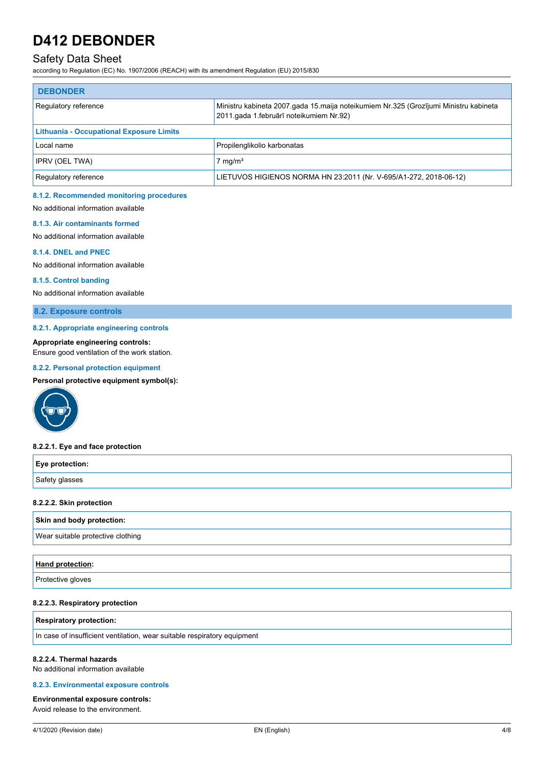## Safety Data Sheet

according to Regulation (EC) No. 1907/2006 (REACH) with its amendment Regulation (EU) 2015/830

| <b>DEBONDER</b>                                 |                                                                                                                                 |  |
|-------------------------------------------------|---------------------------------------------------------------------------------------------------------------------------------|--|
| Regulatory reference                            | Ministru kabineta 2007.gada 15.maija noteikumiem Nr.325 (Grozījumi Ministru kabineta<br>2011.gada 1.februārī noteikumiem Nr.92) |  |
| <b>Lithuania - Occupational Exposure Limits</b> |                                                                                                                                 |  |
| Local name                                      | Propilenglikolio karbonatas                                                                                                     |  |
| IPRV (OEL TWA)                                  | $7 \text{ mg/m}^3$                                                                                                              |  |
| Regulatory reference                            | LIETUVOS HIGIENOS NORMA HN 23:2011 (Nr. V-695/A1-272, 2018-06-12)                                                               |  |

#### **8.1.2. Recommended monitoring procedures**

No additional information available

#### **8.1.3. Air contaminants formed**

No additional information available

#### **8.1.4. DNEL and PNEC**

No additional information available

#### **8.1.5. Control banding**

No additional information available

**8.2. Exposure controls**

#### **8.2.1. Appropriate engineering controls**

#### **Appropriate engineering controls:**

Ensure good ventilation of the work station.

#### **8.2.2. Personal protection equipment**

**Personal protective equipment symbol(s):**



#### **8.2.2.1. Eye and face protection**

| Eye protection: |  |
|-----------------|--|
| Safety glasses  |  |

#### **8.2.2.2. Skin protection**

#### **Skin and body protection:**

Wear suitable protective clothing

#### **Hand protection:**

Protective gloves

#### **8.2.2.3. Respiratory protection**

**Respiratory protection:**

In case of insufficient ventilation, wear suitable respiratory equipment

#### **8.2.2.4. Thermal hazards**

No additional information available

#### **8.2.3. Environmental exposure controls**

**Environmental exposure controls:** Avoid release to the environment.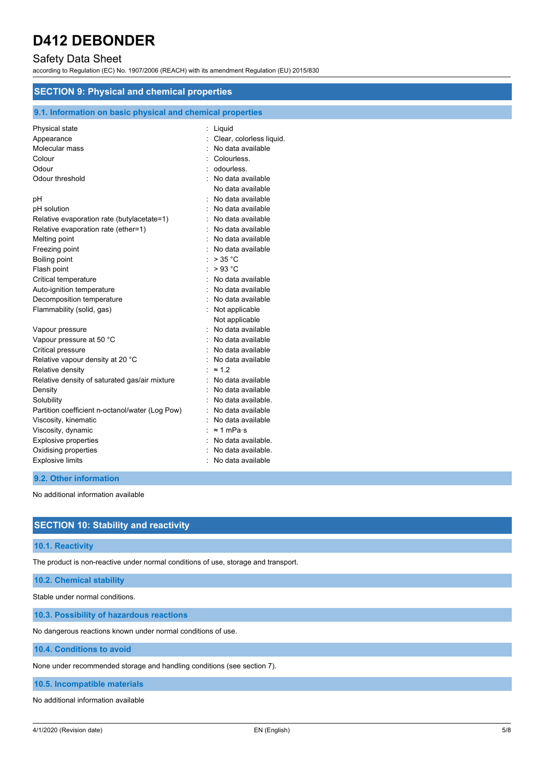## Safety Data Sheet

according to Regulation (EC) No. 1907/2006 (REACH) with its amendment Regulation (EU) 2015/830

| <b>SECTION 9: Physical and chemical properties</b> |                                                            |  |  |
|----------------------------------------------------|------------------------------------------------------------|--|--|
|                                                    | 9.1. Information on basic physical and chemical properties |  |  |
| Physical state                                     | Liquid<br>t.                                               |  |  |
| Appearance                                         | Clear, colorless liquid.                                   |  |  |
| Molecular mass                                     | No data available                                          |  |  |
| Colour                                             | Colourless.                                                |  |  |
| Odour                                              | odourless.                                                 |  |  |
| Odour threshold                                    | No data available                                          |  |  |
|                                                    | No data available                                          |  |  |
| рH                                                 | No data available                                          |  |  |
| pH solution                                        | No data available                                          |  |  |
| Relative evaporation rate (butylacetate=1)         | No data available                                          |  |  |
| Relative evaporation rate (ether=1)                | No data available                                          |  |  |
| Melting point                                      | No data available                                          |  |  |
| Freezing point                                     | No data available                                          |  |  |
| <b>Boiling point</b>                               | > 35 °C                                                    |  |  |
| Flash point                                        | >93 °C                                                     |  |  |
| Critical temperature                               | No data available                                          |  |  |
| Auto-ignition temperature                          | No data available                                          |  |  |
| Decomposition temperature                          | No data available                                          |  |  |
| Flammability (solid, gas)                          | Not applicable                                             |  |  |
|                                                    | Not applicable                                             |  |  |
| Vapour pressure                                    | No data available                                          |  |  |
| Vapour pressure at 50 °C                           | No data available                                          |  |  |
| Critical pressure                                  | No data available                                          |  |  |
| Relative vapour density at 20 °C                   | No data available                                          |  |  |
| Relative density                                   | $\approx$ 1.2                                              |  |  |
| Relative density of saturated gas/air mixture      | No data available                                          |  |  |
| Density                                            | No data available                                          |  |  |
| Solubility                                         | No data available.                                         |  |  |
| Partition coefficient n-octanol/water (Log Pow)    | No data available                                          |  |  |
| Viscosity, kinematic                               | No data available                                          |  |  |
| Viscosity, dynamic                                 | $\approx$ 1 mPa·s                                          |  |  |
| <b>Explosive properties</b>                        | No data available.                                         |  |  |
| Oxidising properties                               | No data available.                                         |  |  |
| <b>Explosive limits</b>                            | No data available                                          |  |  |

### **9.2. Other information**

No additional information available

## **SECTION 10: Stability and reactivity**

#### **10.1. Reactivity**

The product is non-reactive under normal conditions of use, storage and transport.

**10.2. Chemical stability**

Stable under normal conditions.

**10.3. Possibility of hazardous reactions**

No dangerous reactions known under normal conditions of use.

**10.4. Conditions to avoid**

None under recommended storage and handling conditions (see section 7).

**10.5. Incompatible materials**

No additional information available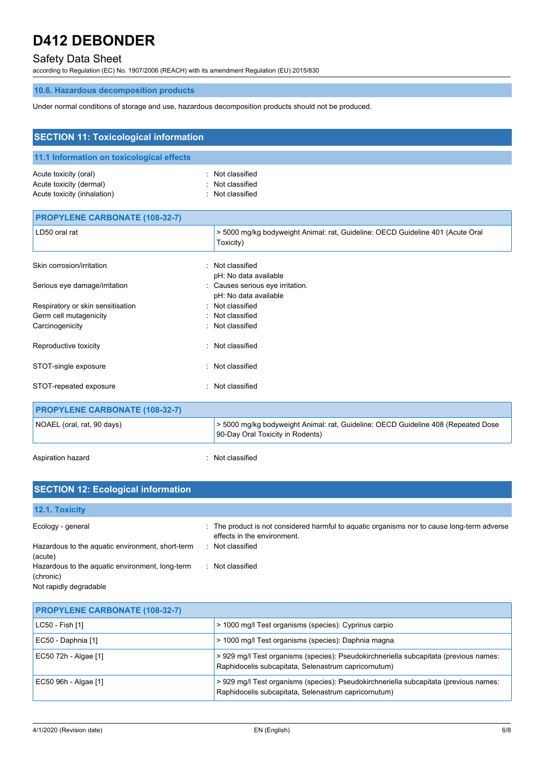## Safety Data Sheet

according to Regulation (EC) No. 1907/2006 (REACH) with its amendment Regulation (EU) 2015/830

## **10.6. Hazardous decomposition products**

Under normal conditions of storage and use, hazardous decomposition products should not be produced.

| <b>SECTION 11: Toxicological information</b> |                                                                                                                       |
|----------------------------------------------|-----------------------------------------------------------------------------------------------------------------------|
| 11.1 Information on toxicological effects    |                                                                                                                       |
|                                              |                                                                                                                       |
| Acute toxicity (oral)                        | : Not classified                                                                                                      |
| Acute toxicity (dermal)                      | Not classified                                                                                                        |
| Acute toxicity (inhalation)                  | : Not classified                                                                                                      |
| <b>PROPYLENE CARBONATE (108-32-7)</b>        |                                                                                                                       |
| LD50 oral rat                                | > 5000 mg/kg bodyweight Animal: rat, Guideline: OECD Guideline 401 (Acute Oral<br>Toxicity)                           |
| Skin corrosion/irritation                    | : Not classified                                                                                                      |
|                                              | pH: No data available                                                                                                 |
| Serious eye damage/irritation                | : Causes serious eye irritation.                                                                                      |
|                                              | pH: No data available                                                                                                 |
| Respiratory or skin sensitisation            | : Not classified                                                                                                      |
| Germ cell mutagenicity                       | : Not classified                                                                                                      |
| Carcinogenicity                              | : Not classified                                                                                                      |
| Reproductive toxicity                        | : Not classified                                                                                                      |
| STOT-single exposure                         | : Not classified                                                                                                      |
| STOT-repeated exposure                       | Not classified                                                                                                        |
| <b>PROPYLENE CARBONATE (108-32-7)</b>        |                                                                                                                       |
| NOAEL (oral, rat, 90 days)                   | > 5000 mg/kg bodyweight Animal: rat, Guideline: OECD Guideline 408 (Repeated Dose<br>90-Day Oral Toxicity in Rodents) |

Aspiration hazard **in the set of the set of the set of the set of the set of the set of the set of the set of the set of the set of the set of the set of the set of the set of the set of the set of the set of the set of th** 

| <b>SECTION 12: Ecological information</b>                    |                                                                                                                            |  |
|--------------------------------------------------------------|----------------------------------------------------------------------------------------------------------------------------|--|
| 12.1. Toxicity                                               |                                                                                                                            |  |
| Ecology - general                                            | : The product is not considered harmful to aquatic organisms nor to cause long-term adverse<br>effects in the environment. |  |
| Hazardous to the aquatic environment, short-term<br>(acute)  | : Not classified                                                                                                           |  |
| Hazardous to the aquatic environment, long-term<br>(chronic) | : Not classified                                                                                                           |  |
| Not rapidly degradable                                       |                                                                                                                            |  |

| <b>PROPYLENE CARBONATE (108-32-7)</b> |                                                                                                                                               |
|---------------------------------------|-----------------------------------------------------------------------------------------------------------------------------------------------|
| LC50 - Fish [1]                       | > 1000 mg/l Test organisms (species): Cyprinus carpio                                                                                         |
| EC50 - Daphnia [1]                    | > 1000 mg/l Test organisms (species): Daphnia magna                                                                                           |
| EC50 72h - Algae [1]                  | > 929 mg/l Test organisms (species): Pseudokirchneriella subcapitata (previous names:<br>Raphidocelis subcapitata, Selenastrum capricornutum) |
| EC50 96h - Algae [1]                  | > 929 mg/l Test organisms (species): Pseudokirchneriella subcapitata (previous names:<br>Raphidocelis subcapitata, Selenastrum capricornutum) |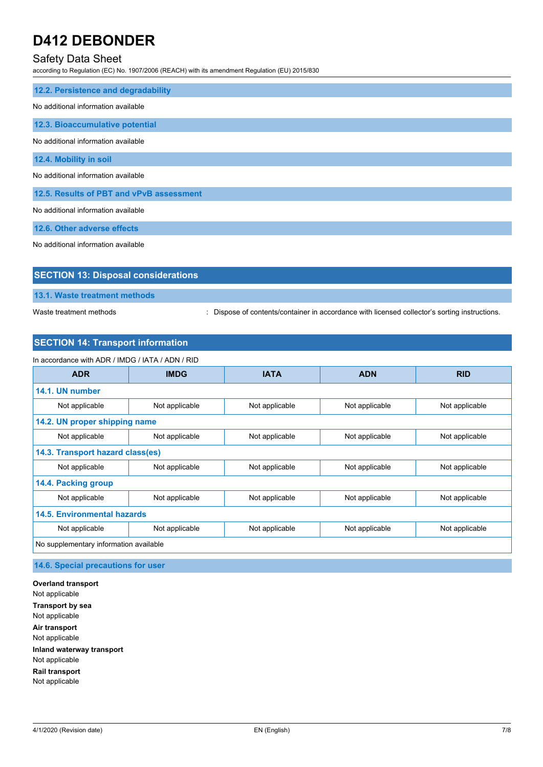## Safety Data Sheet

according to Regulation (EC) No. 1907/2006 (REACH) with its amendment Regulation (EU) 2015/830

| 12.2. Persistence and degradability      |
|------------------------------------------|
| No additional information available      |
| 12.3. Bioaccumulative potential          |
| No additional information available      |
| 12.4. Mobility in soil                   |
| No additional information available      |
| 12.5. Results of PBT and vPvB assessment |
| No additional information available      |
| 12.6. Other adverse effects              |

No additional information available

| <b>SECTION 13: Disposal considerations</b> |  |
|--------------------------------------------|--|
| 13.1. Waste treatment methods              |  |

Waste treatment methods : Dispose of contents/container in accordance with licensed collector's sorting instructions.

### **SECTION 14: Transport information**

| In accordance with ADR / IMDG / IATA / ADN / RID |                |                |                |                |
|--------------------------------------------------|----------------|----------------|----------------|----------------|
| <b>ADR</b>                                       | <b>IMDG</b>    | <b>IATA</b>    | <b>ADN</b>     | <b>RID</b>     |
| 14.1. UN number                                  |                |                |                |                |
| Not applicable                                   | Not applicable | Not applicable | Not applicable | Not applicable |
| 14.2. UN proper shipping name                    |                |                |                |                |
| Not applicable                                   | Not applicable | Not applicable | Not applicable | Not applicable |
| 14.3. Transport hazard class(es)                 |                |                |                |                |
| Not applicable                                   | Not applicable | Not applicable | Not applicable | Not applicable |
| 14.4. Packing group                              |                |                |                |                |
| Not applicable                                   | Not applicable | Not applicable | Not applicable | Not applicable |
| <b>14.5. Environmental hazards</b>               |                |                |                |                |
| Not applicable                                   | Not applicable | Not applicable | Not applicable | Not applicable |
| No supplementary information available           |                |                |                |                |

**14.6. Special precautions for user**

**Overland transport** Not applicable **Transport by sea** Not applicable **Air transport** Not applicable **Inland waterway transport** Not applicable **Rail transport** Not applicable